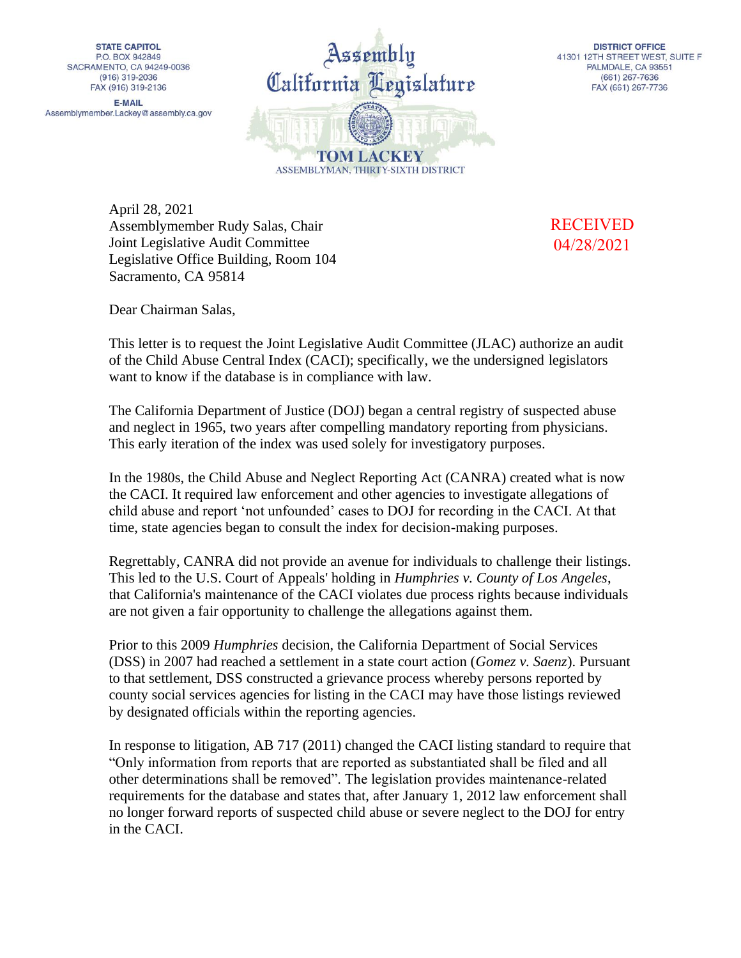**STATE CAPITOL** P.O. BOX 942849 SACRAMENTO, CA 94249-0036  $(916)$  319-2036 FAX (916) 319-2136

**E-MAIL** Assemblymember.Lackey@assembly.ca.gov



**DISTRICT OFFICE** 41301 12TH STREET WEST, SUITE F PALMDALE, CA 93551  $(661)$  267-7636 FAX (661) 267-7736

April 28, 2021 Assemblymember Rudy Salas, Chair Joint Legislative Audit Committee Legislative Office Building, Room 104 Sacramento, CA 95814

RECEIVED 04/28/2021

Dear Chairman Salas,

This letter is to request the Joint Legislative Audit Committee (JLAC) authorize an audit of the Child Abuse Central Index (CACI); specifically, we the undersigned legislators want to know if the database is in compliance with law.

The California Department of Justice (DOJ) began a central registry of suspected abuse and neglect in 1965, two years after compelling mandatory reporting from physicians. This early iteration of the index was used solely for investigatory purposes.

In the 1980s, the Child Abuse and Neglect Reporting Act (CANRA) created what is now the CACI. It required law enforcement and other agencies to investigate allegations of child abuse and report 'not unfounded' cases to DOJ for recording in the CACI. At that time, state agencies began to consult the index for decision-making purposes.

Regrettably, CANRA did not provide an avenue for individuals to challenge their listings. This led to the U.S. Court of Appeals' holding in *Humphries v. County of Los Angeles*, that California's maintenance of the CACI violates due process rights because individuals are not given a fair opportunity to challenge the allegations against them.

Prior to this 2009 *Humphries* decision, the California Department of Social Services (DSS) in 2007 had reached a settlement in a state court action (*Gomez v. Saenz*). Pursuant to that settlement, DSS constructed a grievance process whereby persons reported by county social services agencies for listing in the CACI may have those listings reviewed by designated officials within the reporting agencies.

In response to litigation, AB 717 (2011) changed the CACI listing standard to require that "Only information from reports that are reported as substantiated shall be filed and all other determinations shall be removed". The legislation provides maintenance-related requirements for the database and states that, after January 1, 2012 law enforcement shall no longer forward reports of suspected child abuse or severe neglect to the DOJ for entry in the CACI.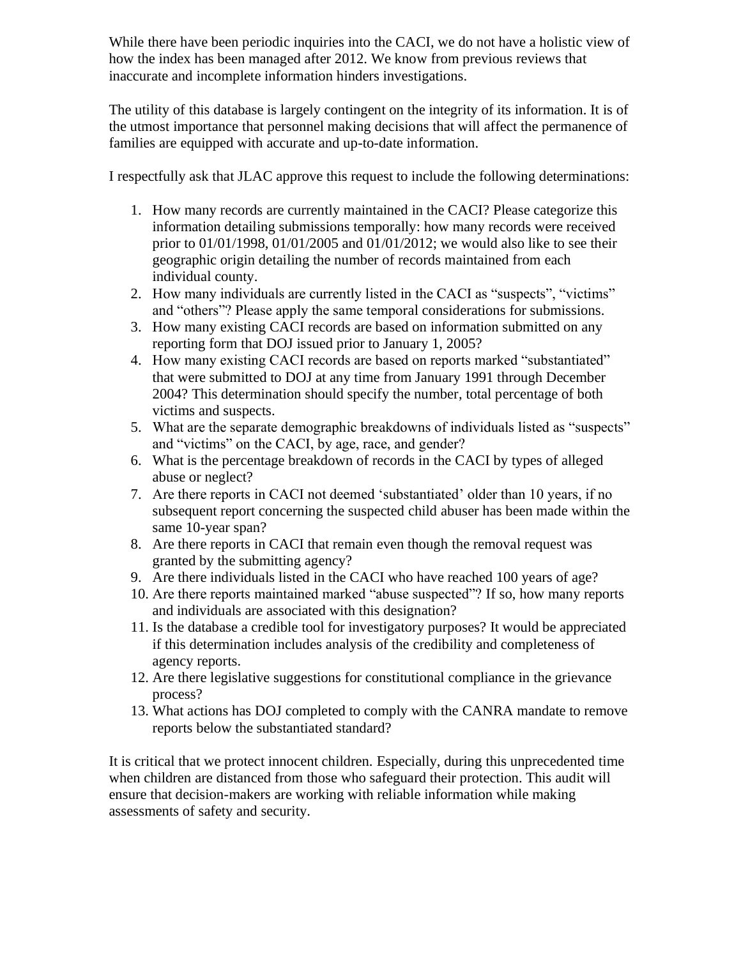While there have been periodic inquiries into the CACI, we do not have a holistic view of how the index has been managed after 2012. We know from previous reviews that inaccurate and incomplete information hinders investigations.

The utility of this database is largely contingent on the integrity of its information. It is of the utmost importance that personnel making decisions that will affect the permanence of families are equipped with accurate and up-to-date information.

I respectfully ask that JLAC approve this request to include the following determinations:

- 1. How many records are currently maintained in the CACI? Please categorize this information detailing submissions temporally: how many records were received prior to  $01/01/1998$ ,  $01/01/2005$  and  $01/01/2012$ ; we would also like to see their geographic origin detailing the number of records maintained from each individual county.
- 2. How many individuals are currently listed in the CACI as "suspects", "victims" and "others"? Please apply the same temporal considerations for submissions.
- 3. How many existing CACI records are based on information submitted on any reporting form that DOJ issued prior to January 1, 2005?
- 4. How many existing CACI records are based on reports marked "substantiated" that were submitted to DOJ at any time from January 1991 through December 2004? This determination should specify the number, total percentage of both victims and suspects.
- 5. What are the separate demographic breakdowns of individuals listed as "suspects" and "victims" on the CACI, by age, race, and gender?
- 6. What is the percentage breakdown of records in the CACI by types of alleged abuse or neglect?
- 7. Are there reports in CACI not deemed 'substantiated' older than 10 years, if no subsequent report concerning the suspected child abuser has been made within the same 10-year span?
- 8. Are there reports in CACI that remain even though the removal request was granted by the submitting agency?
- 9. Are there individuals listed in the CACI who have reached 100 years of age?
- 10. Are there reports maintained marked "abuse suspected"? If so, how many reports and individuals are associated with this designation?
- 11. Is the database a credible tool for investigatory purposes? It would be appreciated if this determination includes analysis of the credibility and completeness of agency reports.
- 12. Are there legislative suggestions for constitutional compliance in the grievance process?
- 13. What actions has DOJ completed to comply with the CANRA mandate to remove reports below the substantiated standard?

It is critical that we protect innocent children. Especially, during this unprecedented time when children are distanced from those who safeguard their protection. This audit will ensure that decision-makers are working with reliable information while making assessments of safety and security.